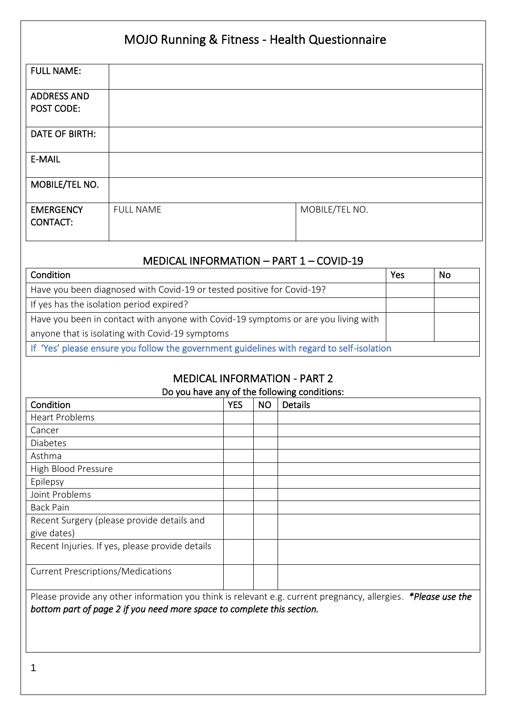# MOJO Running & Fitness - Health Questionnaire

| <b>FULL NAME:</b>                   |                  |                |
|-------------------------------------|------------------|----------------|
| <b>ADDRESS AND</b><br>POST CODE:    |                  |                |
| DATE OF BIRTH:                      |                  |                |
| E-MAIL                              |                  |                |
| MOBILE/TEL NO.                      |                  |                |
| <b>EMERGENCY</b><br><b>CONTACT:</b> | <b>FULL NAME</b> | MOBILE/TEL NO. |

### MEDICAL INFORMATION – PART 1 – COVID-19

| Condition                                                                                 | Yes | No |  |  |
|-------------------------------------------------------------------------------------------|-----|----|--|--|
| Have you been diagnosed with Covid-19 or tested positive for Covid-19?                    |     |    |  |  |
| If yes has the isolation period expired?                                                  |     |    |  |  |
| Have you been in contact with anyone with Covid-19 symptoms or are you living with        |     |    |  |  |
| anyone that is isolating with Covid-19 symptoms                                           |     |    |  |  |
| If 'Yes' please ensure you follow the government guidelines with regard to self-isolation |     |    |  |  |

## MEDICAL INFORMATION - PART 2

#### Do you have any of the following conditions:

| Condition                                                                                                     | <b>YES</b> | <b>NO</b> | <b>Details</b> |  |  |  |
|---------------------------------------------------------------------------------------------------------------|------------|-----------|----------------|--|--|--|
| <b>Heart Problems</b>                                                                                         |            |           |                |  |  |  |
| Cancer                                                                                                        |            |           |                |  |  |  |
| <b>Diabetes</b>                                                                                               |            |           |                |  |  |  |
| Asthma                                                                                                        |            |           |                |  |  |  |
| High Blood Pressure                                                                                           |            |           |                |  |  |  |
| Epilepsy                                                                                                      |            |           |                |  |  |  |
| Joint Problems                                                                                                |            |           |                |  |  |  |
| <b>Back Pain</b>                                                                                              |            |           |                |  |  |  |
| Recent Surgery (please provide details and                                                                    |            |           |                |  |  |  |
| give dates)                                                                                                   |            |           |                |  |  |  |
| Recent Injuries. If yes, please provide details                                                               |            |           |                |  |  |  |
| <b>Current Prescriptions/Medications</b>                                                                      |            |           |                |  |  |  |
| Please provide any other information you think is relevant e.g. current pregnancy, allergies. *Please use the |            |           |                |  |  |  |
| bottom part of page 2 if you need more space to complete this section.                                        |            |           |                |  |  |  |